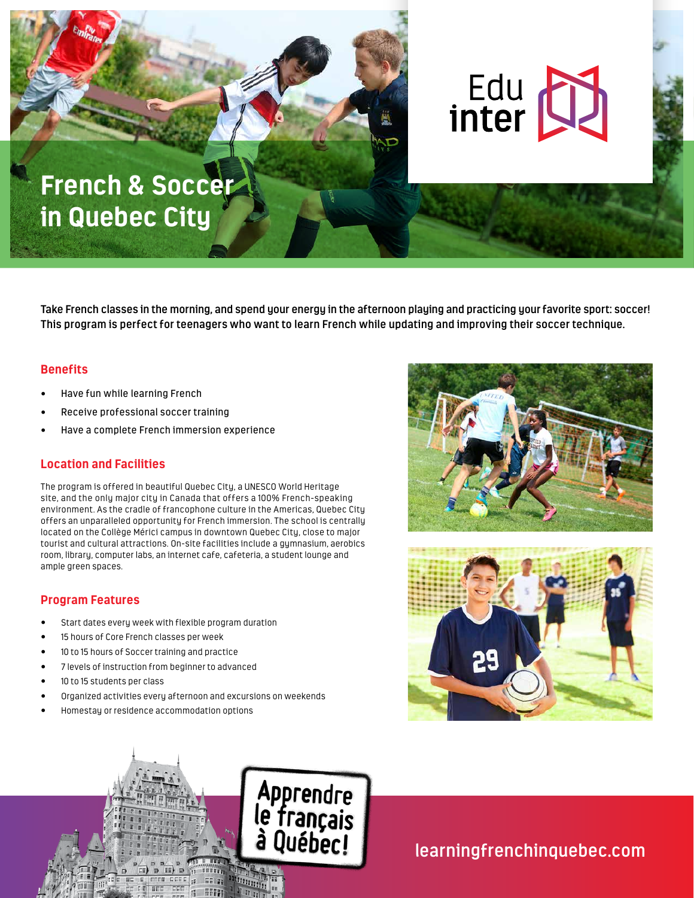

**Take French classes in the morning, and spend your energy in the afternoon playing and practicing your favorite sport: soccer! This program is perfect for teenagers who want to learn French while updating and improving their soccer technique.** 

### **Benefits**

- Have fun while learning French
- Receive professional soccer training
- Have a complete French immersion experience

# **Location and Facilities**

The program is offered in beautiful Quebec City, a UNESCO World Heritage site, and the only major city in Canada that offers a 100% French-speaking environment. As the cradle of francophone culture in the Americas, Quebec City offers an unparalleled opportunity for French immersion. The school is centrally located on the Collège Mérici campus in downtown Quebec City, close to major tourist and cultural attractions. On-site facilities include a gymnasium, aerobics room, library, computer labs, an internet cafe, cafeteria, a student lounge and ample green spaces.

### **Program Features**

- Start dates every week with flexible program duration
- 15 hours of Core French classes per week
- 10 to 15 hours of Soccer training and practice
- 7 levels of instruction from beginner to advanced
- 10 to 15 students per class
- Organized activities every afternoon and excursions on weekends
- Homestay or residence accommodation options







**learningfrenchinquebec.com**